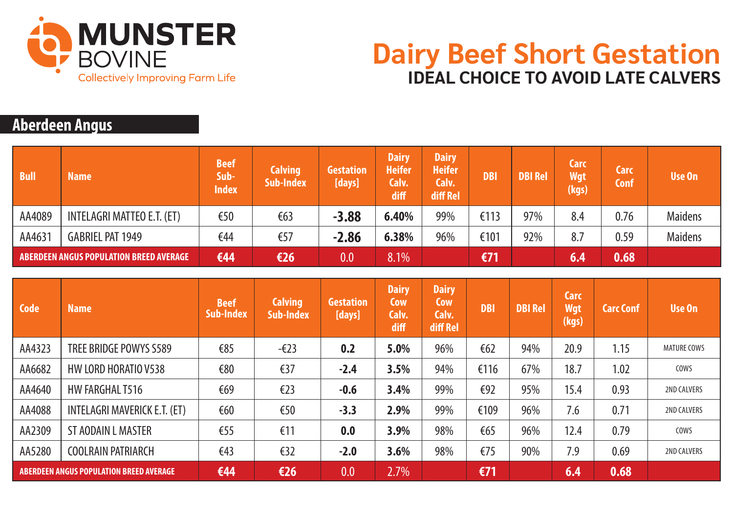

## **Dairy Beef Short Gestation IDEAL CHOICE TO AVOID LATE CALVERS**

## **Aberdeen Angus**

| <b>Bull</b>                               | <b>Name</b>                | <b>Beef</b><br>Sub-<br><b>Index</b> | <b>Calving</b><br><b>Sub-Index</b> | <b>Gestation</b><br>[days] | <b>Dairy</b><br><b>Heifer</b><br>Calv.<br>diff | <b>Dairy</b><br><b>Heifer</b><br>Calv.<br>diff Rel | <b>DBI</b> | <b>DBI Rel</b> | Carc<br><b>Wgt</b><br>(kgs) | <b>Carc</b><br><b>Conf</b> | Use On         |
|-------------------------------------------|----------------------------|-------------------------------------|------------------------------------|----------------------------|------------------------------------------------|----------------------------------------------------|------------|----------------|-----------------------------|----------------------------|----------------|
| AA4089                                    | INTELAGRI MATTEO E.T. (ET) | €50                                 | €63                                | $-3.88$                    | 6.40%                                          | 99%                                                | €113       | 97%            | 8.4                         | 0.76                       | <b>Maidens</b> |
| AA4631                                    | <b>GABRIEL PAT 1949</b>    | €44                                 | €57                                | $-2.86$                    | 6.38%                                          | 96%                                                | €101       | 92%            | 8.7                         | 0.59                       | <b>Maidens</b> |
| ABERDEEN ANGUS POPULATION BREED AVERAGE ' |                            | €44                                 | €26                                | 0.0                        | 8.1%                                           |                                                    | €71        |                | 6.4                         | 0.68                       |                |

| Code                                           | <b>Name</b>                  | <b>Beef</b><br><b>Sub-Index</b> | <b>Calving</b><br>Sub-Index | <b>Gestation</b><br>[days] | <b>Dairy</b><br>Cow<br>Calv.<br>diff | <b>Dairy</b><br>Cow<br>Calv.<br>diff Rel | <b>DBI</b> | <b>DBI Rel</b> | <b>Carc</b><br><b>Wgt</b><br>(kgs) | <b>Carc Conf</b> | <b>Use On</b>      |
|------------------------------------------------|------------------------------|---------------------------------|-----------------------------|----------------------------|--------------------------------------|------------------------------------------|------------|----------------|------------------------------------|------------------|--------------------|
| AA4323                                         | TREE BRIDGE POWYS S589       | €85                             | $-\epsilon$ 23              | 0.2                        | 5.0%                                 | 96%                                      | €62        | 94%            | 20.9                               | 1.15             | <b>MATURE COWS</b> |
| AA6682                                         | HW LORD HORATIO V538         | €80                             | €37                         | $-2.4$                     | 3.5%                                 | 94%                                      | €116       | 67%            | 18.7                               | 1.02             | COWS               |
| AA4640                                         | HW FARGHAL T516              | €69                             | E23                         | $-0.6$                     | 3.4%                                 | 99%                                      | €92        | 95%            | 15.4                               | 0.93             | <b>2ND CALVERS</b> |
| AA4088                                         | INTELAGRI MAVERICK E.T. (ET) | €60                             | €50                         | $-3.3$                     | 2.9%                                 | 99%                                      | €109       | 96%            | 7.6                                | 0.71             | <b>2ND CALVERS</b> |
| AA2309                                         | ST AODAIN L MASTER           | €55                             | €11                         | 0.0                        | 3.9%                                 | 98%                                      | €65        | 96%            | 12.4                               | 0.79             | COWS               |
| AA5280                                         | <b>COOLRAIN PATRIARCH</b>    | €43                             | €32                         | $-2.0$                     | 3.6%                                 | 98%                                      | €75        | 90%            | 7.9                                | 0.69             | <b>2ND CALVERS</b> |
| <b>ABERDEEN ANGUS POPULATION BREED AVERAGE</b> |                              | €44                             | E26                         | 0.0                        | 2.7%                                 |                                          | $E$ 71     |                | 6.4                                | 0.68             |                    |